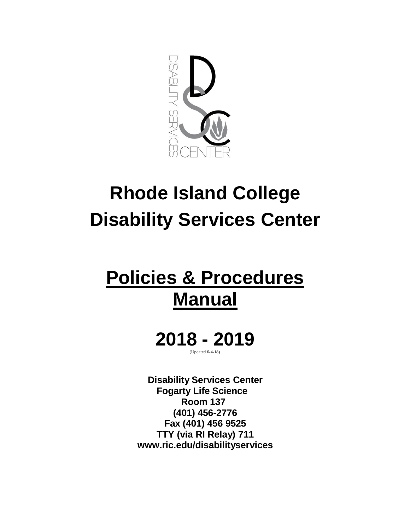

# **Rhode Island College Disability Services Center**

## **Policies & Procedures Manual**

**2018 - 2019** (Updated 6-4-18)

**Disability Services Center Fogarty Life Science Room 137 (401) 456-2776 Fax (401) 456 9525 TTY (via RI Relay) 71[1](http://www.ric.edu/disabilityservices) [www.ric.edu/disabilityservices](http://www.ric.edu/disabilityservices)**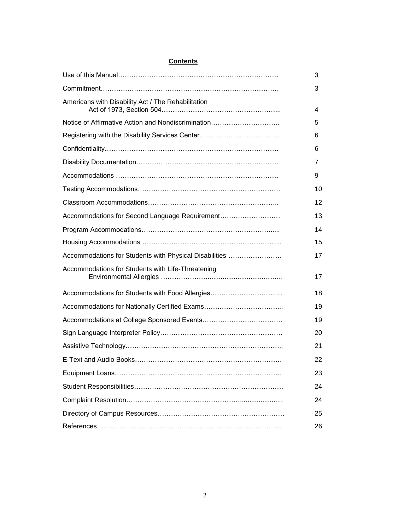|  | Contents |
|--|----------|
|  |          |

|                                                        | 3  |
|--------------------------------------------------------|----|
|                                                        | 3  |
| Americans with Disability Act / The Rehabilitation     | 4  |
| Notice of Affirmative Action and Nondiscrimination     |    |
| Registering with the Disability Services Center        |    |
|                                                        | 6  |
|                                                        | 7  |
|                                                        | 9  |
|                                                        | 10 |
|                                                        | 12 |
| Accommodations for Second Language Requirement         | 13 |
|                                                        | 14 |
|                                                        | 15 |
| Accommodations for Students with Physical Disabilities | 17 |
| Accommodations for Students with Life-Threatening      | 17 |
| Accommodations for Students with Food Allergies        | 18 |
|                                                        |    |
|                                                        |    |
|                                                        | 20 |
|                                                        | 21 |
|                                                        | 22 |
|                                                        | 23 |
|                                                        | 24 |
|                                                        | 24 |
|                                                        | 25 |
|                                                        | 26 |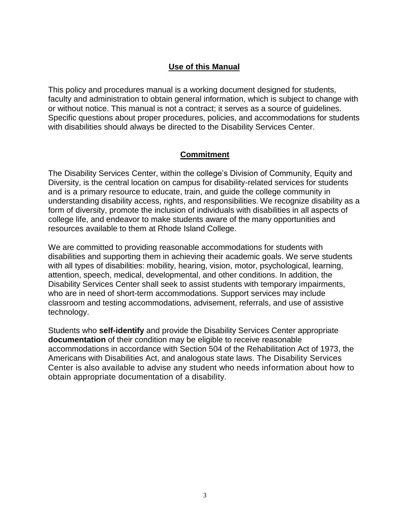#### **Use of this Manual**

This policy and procedures manual is a working document designed for students, faculty and administration to obtain general information, which is subject to change with or without notice. This manual is not a contract; it serves as a source of guidelines. Specific questions about proper procedures, policies, and accommodations for students with disabilities should always be directed to the Disability Services Center.

#### **Commitment**

The Disability Services Center, within the college's Division of Community, Equity and Diversity, is the central location on campus for disability-related services for students and is a primary resource to educate, train, and guide the college community in understanding disability access, rights, and responsibilities. We recognize disability as a form of diversity, promote the inclusion of individuals with disabilities in all aspects of college life, and endeavor to make students aware of the many opportunities and resources available to them at Rhode Island College.

We are committed to providing reasonable accommodations for students with disabilities and supporting them in achieving their academic goals. We serve students with all types of disabilities: mobility, hearing, vision, motor, psychological, learning, attention, speech, medical, developmental, and other conditions. In addition, the Disability Services Center shall seek to assist students with temporary impairments, who are in need of short-term accommodations. Support services may include classroom and testing accommodations, advisement, referrals, and use of assistive technology.

Students who **self-identify** and provide the Disability Services Center appropriate **documentation** of their condition may be eligible to receive reasonable accommodations in accordance with Section 504 of the Rehabilitation Act of 1973, the Americans with Disabilities Act, and analogous state laws. The Disability Services Center is also available to advise any student who needs information about how to obtain appropriate documentation of a disability.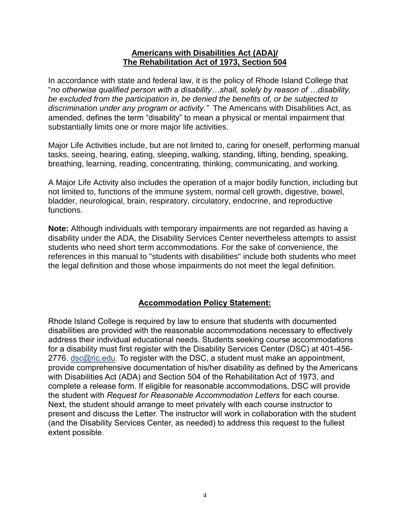#### **Americans with Disabilities Act (ADA)/ The Rehabilitation Act of 1973, Section 504**

In accordance with state and federal law, it is the policy of Rhode Island College that "*no otherwise qualified person with a disability…shall, solely by reason of …disability, be excluded from the participation in, be denied the benefits of, or be subjected to discrimination under any program or activity."* The Americans with Disabilities Act, as amended, defines the term "disability" to mean a physical or mental impairment that substantially limits one or more major life activities.

Major Life Activities include, but are not limited to, caring for oneself, performing manual tasks, seeing, hearing, eating, sleeping, walking, standing, lifting, bending, speaking, breathing, learning, reading, concentrating, thinking, communicating, and working.

A Major Life Activity also includes the operation of a major bodily function, including but not limited to, functions of the immune system, normal cell growth, digestive, bowel, bladder, neurological, brain, respiratory, circulatory, endocrine, and reproductive functions.

**Note:** Although individuals with temporary impairments are not regarded as having a disability under the ADA, the Disability Services Center nevertheless attempts to assist students who need short term accommodations. For the sake of convenience, the references in this manual to "students with disabilities" include both students who meet the legal definition and those whose impairments do not meet the legal definition.

## **Accommodation Policy Statement:**

Rhode Island College is required by law to ensure that students with documented disabilities are provided with the reasonable accommodations necessary to effectively address their individual educational needs. Students seeking course accommodations for a disability must first register with the Disability Services Center (DSC) at 401-456- 2776, [dsc@ric.edu.](mailto:dsc@ric.edu) To register with the DSC, a student must make an appointment, provide comprehensive documentation of his/her disability as defined by the Americans with Disabilities Act (ADA) and Section 504 of the Rehabilitation Act of 1973, and complete a release form. If eligible for reasonable accommodations, DSC will provide the student with *Request for Reasonable Accommodation Letters* for each course. Next, the student should arrange to meet privately with each course instructor to present and discuss the Letter. The instructor will work in collaboration with the student (and the Disability Services Center, as needed) to address this request to the fullest extent possible.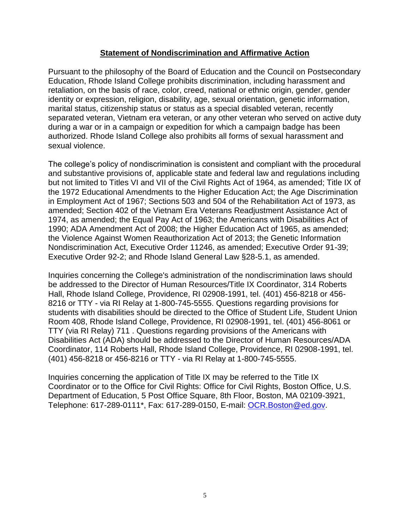#### **Statement of Nondiscrimination and Affirmative Action**

Pursuant to the philosophy of the Board of Education and the Council on Postsecondary Education, Rhode Island College prohibits discrimination, including harassment and retaliation, on the basis of race, color, creed, national or ethnic origin, gender, gender identity or expression, religion, disability, age, sexual orientation, genetic information, marital status, citizenship status or status as a special disabled veteran, recently separated veteran, Vietnam era veteran, or any other veteran who served on active duty during a war or in a campaign or expedition for which a campaign badge has been authorized. Rhode Island College also prohibits all forms of sexual harassment and sexual violence.

The college's policy of nondiscrimination is consistent and compliant with the procedural and substantive provisions of, applicable state and federal law and regulations including but not limited to Titles VI and VII of the Civil Rights Act of 1964, as amended; Title IX of the 1972 Educational Amendments to the Higher Education Act; the Age Discrimination in Employment Act of 1967; Sections 503 and 504 of the Rehabilitation Act of 1973, as amended; Section 402 of the Vietnam Era Veterans Readjustment Assistance Act of 1974, as amended; the Equal Pay Act of 1963; the Americans with Disabilities Act of 1990; ADA Amendment Act of 2008; the Higher Education Act of 1965, as amended; the Violence Against Women Reauthorization Act of 2013; the Genetic Information Nondiscrimination Act, Executive Order 11246, as amended; Executive Order 91-39; Executive Order 92-2; and Rhode Island General Law §28-5.1, as amended.

Inquiries concerning the College's administration of the nondiscrimination laws should be addressed to the Director of Human Resources/Title IX Coordinator, 314 Roberts Hall, Rhode Island College, Providence, RI 02908-1991, tel. (401) 456-8218 or 456- 8216 or TTY - via RI Relay at 1-800-745-5555. Questions regarding provisions for students with disabilities should be directed to the Office of Student Life, Student Union Room 408, Rhode Island College, Providence, RI 02908-1991, tel. (401) 456-8061 or TTY (via RI Relay) 711 . Questions regarding provisions of the Americans with Disabilities Act (ADA) should be addressed to the Director of Human Resources/ADA Coordinator, 114 Roberts Hall, Rhode Island College, Providence, RI 02908-1991, tel. (401) 456-8218 or 456-8216 or TTY - via RI Relay at 1-800-745-5555.

Inquiries concerning the application of Title IX may be referred to the Title IX Coordinator or to the Office for Civil Rights: Office for Civil Rights, Boston Office, U.S. Department of Education, 5 Post Office Square, 8th Floor, Boston, MA 02109-3921, Telephone: 617-289-0111\*, Fax: 617-289-0150, E-mail: [OCR.Boston@ed.gov.](mailto:OCR.Boston@ed.gov)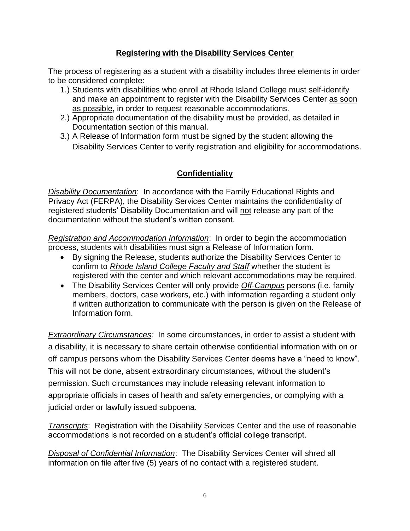## **Registering with the Disability Services Center**

The process of registering as a student with a disability includes three elements in order to be considered complete:

- 1.) Students with disabilities who enroll at Rhode Island College must self-identify and make an appointment to register with the Disability Services Center as soon as possible**,** in order to request reasonable accommodations.
- 2.) Appropriate documentation of the disability must be provided, as detailed in Documentation section of this manual.
- 3.) A Release of Information form must be signed by the student allowing the Disability Services Center to verify registration and eligibility for accommodations.

## **Confidentiality**

*Disability Documentation*: In accordance with the Family Educational Rights and Privacy Act (FERPA), the Disability Services Center maintains the confidentiality of registered students' Disability Documentation and will not release any part of the documentation without the student's written consent.

*Registration and Accommodation Information*: In order to begin the accommodation process, students with disabilities must sign a Release of Information form.

- By signing the Release, students authorize the Disability Services Center to confirm to *Rhode Island College Faculty and Staff* whether the student is registered with the center and which relevant accommodations may be required.
- The Disability Services Center will only provide *Off-Campus* persons (i.e. family members, doctors, case workers, etc.) with information regarding a student only if written authorization to communicate with the person is given on the Release of Information form.

*Extraordinary Circumstances:* In some circumstances, in order to assist a student with a disability, it is necessary to share certain otherwise confidential information with on or off campus persons whom the Disability Services Center deems have a "need to know". This will not be done, absent extraordinary circumstances, without the student's permission. Such circumstances may include releasing relevant information to appropriate officials in cases of health and safety emergencies, or complying with a judicial order or lawfully issued subpoena.

*Transcripts*: Registration with the Disability Services Center and the use of reasonable accommodations is not recorded on a student's official college transcript.

*Disposal of Confidential Information*: The Disability Services Center will shred all information on file after five (5) years of no contact with a registered student.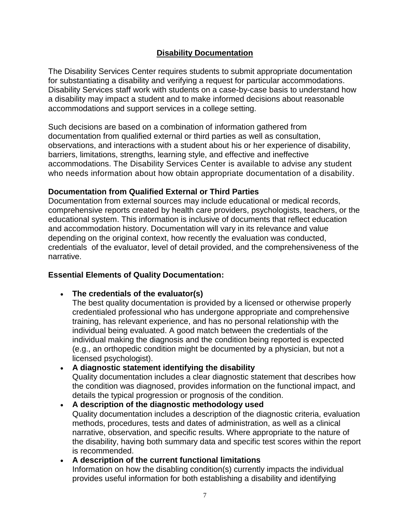## **Disability Documentation**

The Disability Services Center requires students to submit appropriate documentation for substantiating a disability and verifying a request for particular accommodations. Disability Services staff work with students on a case-by-case basis to understand how a disability may impact a student and to make informed decisions about reasonable accommodations and support services in a college setting.

Such decisions are based on a combination of information gathered from documentation from qualified external or third parties as well as consultation, observations, and interactions with a student about his or her experience of disability, barriers, limitations, strengths, learning style, and effective and ineffective accommodations. The Disability Services Center is available to advise any student who needs information about how obtain appropriate documentation of a disability.

## **Documentation from Qualified External or Third Parties**

Documentation from external sources may include educational or medical records, comprehensive reports created by health care providers, psychologists, teachers, or the educational system. This information is inclusive of documents that reflect education and accommodation history. Documentation will vary in its relevance and value depending on the original context, how recently the evaluation was conducted, credentials of the evaluator, level of detail provided, and the comprehensiveness of the narrative.

## **Essential Elements of Quality Documentation:**

- **The credentials of the evaluator(s)**
	- The best quality documentation is provided by a licensed or otherwise properly credentialed professional who has undergone appropriate and comprehensive training, has relevant experience, and has no personal relationship with the individual being evaluated. A good match between the credentials of the individual making the diagnosis and the condition being reported is expected (e.g., an orthopedic condition might be documented by a physician, but not a licensed psychologist).
- **A diagnostic statement identifying the disability** Quality documentation includes a clear diagnostic statement that describes how the condition was diagnosed, provides information on the functional impact, and details the typical progression or prognosis of the condition.

#### **A description of the diagnostic methodology used** Quality documentation includes a description of the diagnostic criteria, evaluation methods, procedures, tests and dates of administration, as well as a clinical narrative, observation, and specific results. Where appropriate to the nature of the disability, having both summary data and specific test scores within the report is recommended.

 **A description of the current functional limitations** Information on how the disabling condition(s) currently impacts the individual provides useful information for both establishing a disability and identifying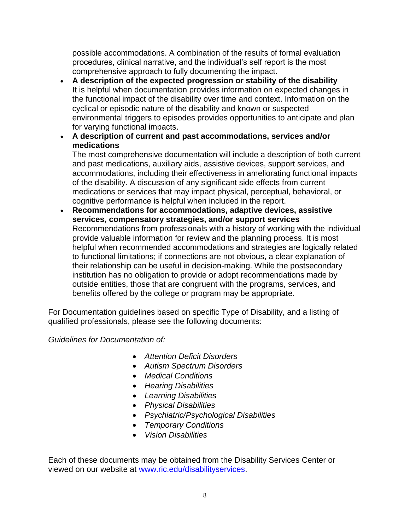possible accommodations. A combination of the results of formal evaluation procedures, clinical narrative, and the individual's self report is the most comprehensive approach to fully documenting the impact.

- **A description of the expected progression or stability of the disability** It is helpful when documentation provides information on expected changes in the functional impact of the disability over time and context. Information on the cyclical or episodic nature of the disability and known or suspected environmental triggers to episodes provides opportunities to anticipate and plan for varying functional impacts.
- **A description of current and past accommodations, services and/or medications**

The most comprehensive documentation will include a description of both current and past medications, auxiliary aids, assistive devices, support services, and accommodations, including their effectiveness in ameliorating functional impacts of the disability. A discussion of any significant side effects from current medications or services that may impact physical, perceptual, behavioral, or cognitive performance is helpful when included in the report.

 **Recommendations for accommodations, adaptive devices, assistive services, compensatory strategies, and/or support services** Recommendations from professionals with a history of working with the individual provide valuable information for review and the planning process. It is most helpful when recommended accommodations and strategies are logically related to functional limitations; if connections are not obvious, a clear explanation of their relationship can be useful in decision-making. While the postsecondary institution has no obligation to provide or adopt recommendations made by outside entities, those that are congruent with the programs, services, and benefits offered by the college or program may be appropriate.

For Documentation guidelines based on specific Type of Disability, and a listing of qualified professionals, please see the following documents:

*Guidelines for Documentation of:*

- *Attention Deficit Disorders*
- *Autism Spectrum Disorders*
- *Medical Conditions*
- *Hearing Disabilities*
- *Learning Disabilities*
- *Physical Disabilities*
- *Psychiatric/Psychological Disabilities*
- *Temporary Conditions*
- *Vision Disabilities*

Each of these documents may be obtained from the Disability Services Center or viewed on our website at [www.ric.edu/disabilityservices.](http://www.ric.edu/disabilityservices)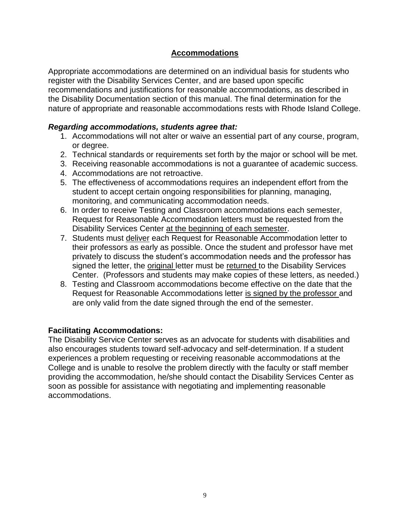## **Accommodations**

Appropriate accommodations are determined on an individual basis for students who register with the Disability Services Center, and are based upon specific recommendations and justifications for reasonable accommodations, as described in the Disability Documentation section of this manual. The final determination for the nature of appropriate and reasonable accommodations rests with Rhode Island College.

## *Regarding accommodations, students agree that:*

- 1. Accommodations will not alter or waive an essential part of any course, program, or degree.
- 2. Technical standards or requirements set forth by the major or school will be met.
- 3. Receiving reasonable accommodations is not a guarantee of academic success.
- 4. Accommodations are not retroactive.
- 5. The effectiveness of accommodations requires an independent effort from the student to accept certain ongoing responsibilities for planning, managing, monitoring, and communicating accommodation needs.
- 6. In order to receive Testing and Classroom accommodations each semester, Request for Reasonable Accommodation letters must be requested from the Disability Services Center at the beginning of each semester.
- 7. Students must deliver each Request for Reasonable Accommodation letter to their professors as early as possible. Once the student and professor have met privately to discuss the student's accommodation needs and the professor has signed the letter, the original letter must be returned to the Disability Services Center. (Professors and students may make copies of these letters, as needed.)
- 8. Testing and Classroom accommodations become effective on the date that the Request for Reasonable Accommodations letter is signed by the professor and are only valid from the date signed through the end of the semester.

## **Facilitating Accommodations:**

The Disability Service Center serves as an advocate for students with disabilities and also encourages students toward self-advocacy and self-determination. If a student experiences a problem requesting or receiving reasonable accommodations at the College and is unable to resolve the problem directly with the faculty or staff member providing the accommodation, he/she should contact the Disability Services Center as soon as possible for assistance with negotiating and implementing reasonable accommodations.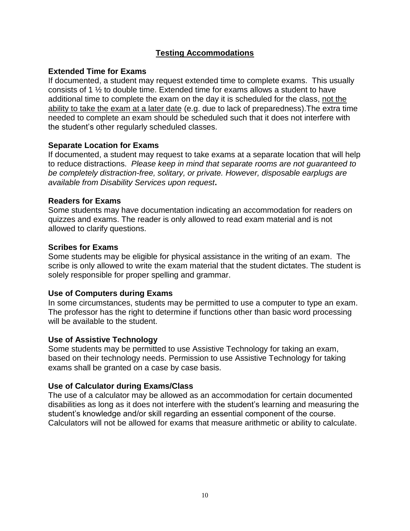## **Testing Accommodations**

#### **Extended Time for Exams**

If documented, a student may request extended time to complete exams. This usually consists of 1 ½ to double time. Extended time for exams allows a student to have additional time to complete the exam on the day it is scheduled for the class, not the ability to take the exam at a later date (e.g. due to lack of preparedness). The extra time needed to complete an exam should be scheduled such that it does not interfere with the student's other regularly scheduled classes.

#### **Separate Location for Exams**

If documented, a student may request to take exams at a separate location that will help to reduce distractions. *Please keep in mind that separate rooms are not guaranteed to be completely distraction-free, solitary, or private. However, disposable earplugs are available from Disability Services upon request***.**

#### **Readers for Exams**

Some students may have documentation indicating an accommodation for readers on quizzes and exams. The reader is only allowed to read exam material and is not allowed to clarify questions.

#### **Scribes for Exams**

Some students may be eligible for physical assistance in the writing of an exam. The scribe is only allowed to write the exam material that the student dictates. The student is solely responsible for proper spelling and grammar.

#### **Use of Computers during Exams**

In some circumstances, students may be permitted to use a computer to type an exam. The professor has the right to determine if functions other than basic word processing will be available to the student.

## **Use of Assistive Technology**

Some students may be permitted to use Assistive Technology for taking an exam, based on their technology needs. Permission to use Assistive Technology for taking exams shall be granted on a case by case basis.

## **Use of Calculator during Exams/Class**

The use of a calculator may be allowed as an accommodation for certain documented disabilities as long as it does not interfere with the student's learning and measuring the student's knowledge and/or skill regarding an essential component of the course. Calculators will not be allowed for exams that measure arithmetic or ability to calculate.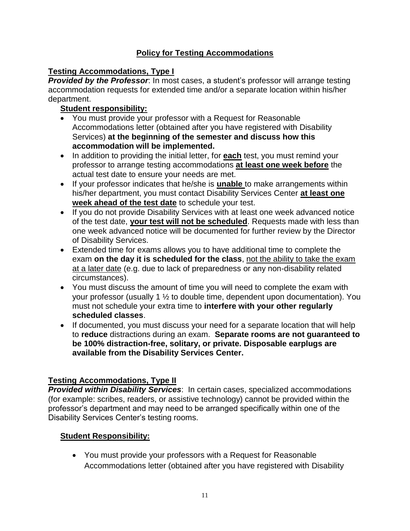## **Policy for Testing Accommodations**

## **Testing Accommodations, Type I**

*Provided by the Professor*: In most cases, a student's professor will arrange testing accommodation requests for extended time and/or a separate location within his/her department.

## **Student responsibility:**

- You must provide your professor with a Request for Reasonable Accommodations letter (obtained after you have registered with Disability Services) **at the beginning of the semester and discuss how this accommodation will be implemented.**
- In addition to providing the initial letter, for **each** test, you must remind your professor to arrange testing accommodations **at least one week before** the actual test date to ensure your needs are met.
- If your professor indicates that he/she is **unable** to make arrangements within his/her department, you must contact Disability Services Center **at least one week ahead of the test date** to schedule your test.
- If you do not provide Disability Services with at least one week advanced notice of the test date, **your test will not be scheduled**. Requests made with less than one week advanced notice will be documented for further review by the Director of Disability Services.
- Extended time for exams allows you to have additional time to complete the exam **on the day it is scheduled for the class**, not the ability to take the exam at a later date (e.g. due to lack of preparedness or any non-disability related circumstances).
- You must discuss the amount of time you will need to complete the exam with your professor (usually 1 ½ to double time, dependent upon documentation). You must not schedule your extra time to **interfere with your other regularly scheduled classes**.
- If documented, you must discuss your need for a separate location that will help to **reduce** distractions during an exam. **Separate rooms are not guaranteed to be 100% distraction-free, solitary, or private. Disposable earplugs are available from the Disability Services Center.**

## **Testing Accommodations, Type II**

*Provided within Disability Services*: In certain cases, specialized accommodations (for example: scribes, readers, or assistive technology) cannot be provided within the professor's department and may need to be arranged specifically within one of the Disability Services Center's testing rooms.

## **Student Responsibility:**

 You must provide your professors with a Request for Reasonable Accommodations letter (obtained after you have registered with Disability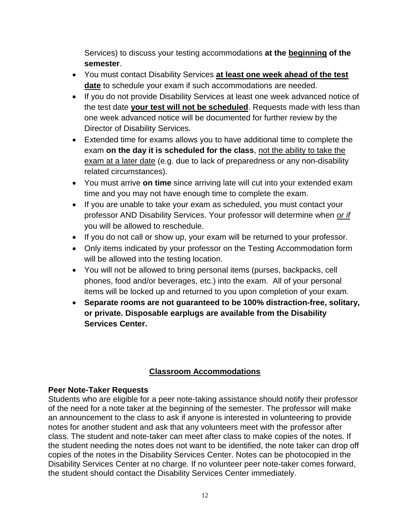Services) to discuss your testing accommodations **at the beginning of the semester**.

- You must contact Disability Services **at least one week ahead of the test date** to schedule your exam if such accommodations are needed.
- If you do not provide Disability Services at least one week advanced notice of the test date **your test will not be scheduled**. Requests made with less than one week advanced notice will be documented for further review by the Director of Disability Services.
- Extended time for exams allows you to have additional time to complete the exam **on the day it is scheduled for the class**, not the ability to take the exam at a later date (e.g. due to lack of preparedness or any non-disability related circumstances).
- You must arrive **on time** since arriving late will cut into your extended exam time and you may not have enough time to complete the exam.
- If you are unable to take your exam as scheduled, you must contact your professor AND Disability Services. Your professor will determine when *or if* you will be allowed to reschedule.
- If you do not call or show up, your exam will be returned to your professor.
- Only items indicated by your professor on the Testing Accommodation form will be allowed into the testing location.
- You will not be allowed to bring personal items (purses, backpacks, cell phones, food and/or beverages, etc.) into the exam. All of your personal items will be locked up and returned to you upon completion of your exam.
- **Separate rooms are not guaranteed to be 100% distraction-free, solitary, or private. Disposable earplugs are available from the Disability Services Center.**

## **Classroom Accommodations**

## **Peer Note-Taker Requests**

Students who are eligible for a peer note-taking assistance should notify their professor of the need for a note taker at the beginning of the semester. The professor will make an announcement to the class to ask if anyone is interested in volunteering to provide notes for another student and ask that any volunteers meet with the professor after class. The student and note-taker can meet after class to make copies of the notes. If the student needing the notes does not want to be identified, the note taker can drop off copies of the notes in the Disability Services Center. Notes can be photocopied in the Disability Services Center at no charge*.* If no volunteer peer note-taker comes forward, the student should contact the Disability Services Center immediately.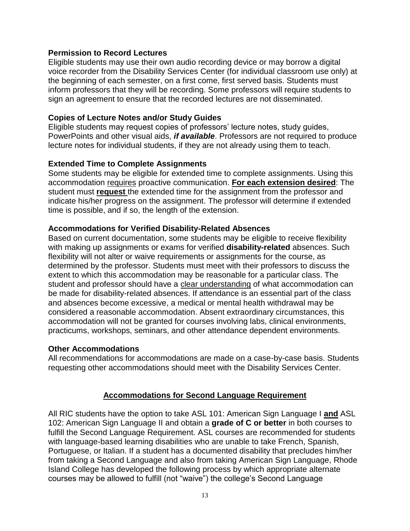#### **Permission to Record Lectures**

Eligible students may use their own audio recording device or may borrow a digital voice recorder from the Disability Services Center (for individual classroom use only) at the beginning of each semester, on a first come, first served basis. Students must inform professors that they will be recording. Some professors will require students to sign an agreement to ensure that the recorded lectures are not disseminated.

#### **Copies of Lecture Notes and/or Study Guides**

Eligible students may request copies of professors' lecture notes, study guides, PowerPoints and other visual aids, *if available*. Professors are not required to produce lecture notes for individual students, if they are not already using them to teach.

#### **Extended Time to Complete Assignments**

Some students may be eligible for extended time to complete assignments. Using this accommodation requires proactive communication. **For each extension desired**: The student must **request** the extended time for the assignment from the professor and indicate his/her progress on the assignment. The professor will determine if extended time is possible, and if so, the length of the extension.

#### **Accommodations for Verified Disability-Related Absences**

Based on current documentation, some students may be eligible to receive flexibility with making up assignments or exams for verified **disability-related** absences. Such flexibility will not alter or waive requirements or assignments for the course, as determined by the professor. Students must meet with their professors to discuss the extent to which this accommodation may be reasonable for a particular class. The student and professor should have a clear understanding of what accommodation can be made for disability-related absences. If attendance is an essential part of the class and absences become excessive, a medical or mental health withdrawal may be considered a reasonable accommodation. Absent extraordinary circumstances, this accommodation will not be granted for courses involving labs, clinical environments, practicums, workshops, seminars, and other attendance dependent environments.

#### **Other Accommodations**

All recommendations for accommodations are made on a case-by-case basis. Students requesting other accommodations should meet with the Disability Services Center.

#### **Accommodations for Second Language Requirement**

All RIC students have the option to take ASL 101: American Sign Language I **and** ASL 102: American Sign Language II and obtain a **grade of C or better** in both courses to fulfill the Second Language Requirement. ASL courses are recommended for students with language-based learning disabilities who are unable to take French, Spanish, Portuguese, or Italian. If a student has a documented disability that precludes him/her from taking a Second Language and also from taking American Sign Language, Rhode Island College has developed the following process by which appropriate alternate courses may be allowed to fulfill (not "waive") the college's Second Language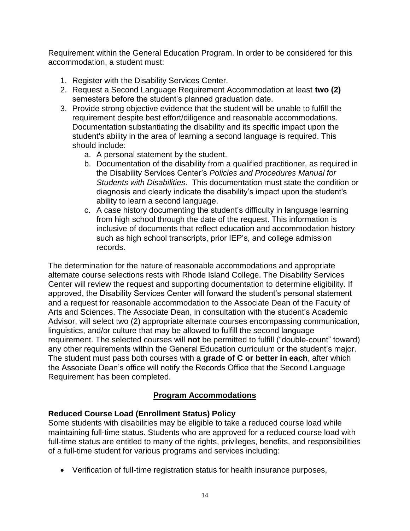Requirement within the General Education Program. In order to be considered for this accommodation, a student must:

- 1. Register with the Disability Services Center.
- 2. Request a Second Language Requirement Accommodation at least **two (2)** semesters before the student's planned graduation date.
- 3. Provide strong objective evidence that the student will be unable to fulfill the requirement despite best effort/diligence and reasonable accommodations. Documentation substantiating the disability and its specific impact upon the student's ability in the area of learning a second language is required. This should include:
	- a. A personal statement by the student.
	- b. Documentation of the disability from a qualified practitioner, as required in the Disability Services Center's *Policies and Procedures Manual for Students with Disabilities*. This documentation must state the condition or diagnosis and clearly indicate the disability's impact upon the student's ability to learn a second language.
	- c. A case history documenting the student's difficulty in language learning from high school through the date of the request. This information is inclusive of documents that reflect education and accommodation history such as high school transcripts, prior IEP's, and college admission records.

The determination for the nature of reasonable accommodations and appropriate alternate course selections rests with Rhode Island College. The Disability Services Center will review the request and supporting documentation to determine eligibility. If approved, the Disability Services Center will forward the student's personal statement and a request for reasonable accommodation to the Associate Dean of the Faculty of Arts and Sciences. The Associate Dean, in consultation with the student's Academic Advisor, will select two (2) appropriate alternate courses encompassing communication, linguistics, and/or culture that may be allowed to fulfill the second language requirement. The selected courses will **not** be permitted to fulfill ("double-count" toward) any other requirements within the General Education curriculum or the student's major. The student must pass both courses with a **grade of C or better in each**, after which the Associate Dean's office will notify the Records Office that the Second Language Requirement has been completed.

## **Program Accommodations**

## **Reduced Course Load (Enrollment Status) Policy**

Some students with disabilities may be eligible to take a reduced course load while maintaining full-time status. Students who are approved for a reduced course load with full-time status are entitled to many of the rights, privileges, benefits, and responsibilities of a full-time student for various programs and services including:

Verification of full-time registration status for health insurance purposes,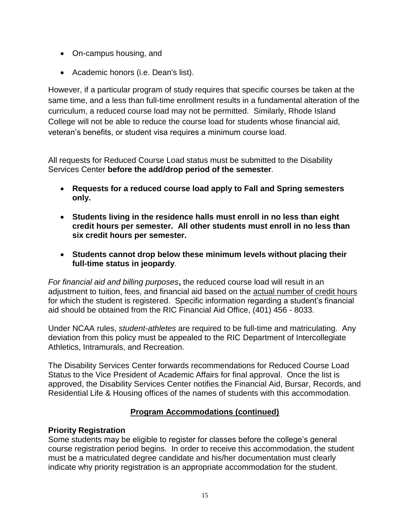- On-campus housing, and
- Academic honors (i.e. Dean's list).

However, if a particular program of study requires that specific courses be taken at the same time, and a less than full-time enrollment results in a fundamental alteration of the curriculum, a reduced course load may not be permitted. Similarly, Rhode Island College will not be able to reduce the course load for students whose financial aid, veteran's benefits, or student visa requires a minimum course load.

All requests for Reduced Course Load status must be submitted to the Disability Services Center **before the add/drop period of the semester***.*

- **Requests for a reduced course load apply to Fall and Spring semesters only.**
- **Students living in the residence halls must enroll in no less than eight credit hours per semester. All other students must enroll in no less than six credit hours per semester.**
- **Students cannot drop below these minimum levels without placing their full-time status in jeopardy**.

*For financial aid and billing purposes***,** the reduced course load will result in an adjustment to tuition, fees, and financial aid based on the actual number of credit hours for which the student is registered. Specific information regarding a student's financial aid should be obtained from the RIC Financial Aid Office, (401) 456 - 8033.

Under NCAA rules, *student-athletes* are required to be full-time and matriculating. Any deviation from this policy must be appealed to the RIC Department of Intercollegiate Athletics, Intramurals, and Recreation.

The Disability Services Center forwards recommendations for Reduced Course Load Status to the Vice President of Academic Affairs for final approval. Once the list is approved, the Disability Services Center notifies the Financial Aid, Bursar, Records, and Residential Life & Housing offices of the names of students with this accommodation.

## **Program Accommodations (continued)**

## **Priority Registration**

Some students may be eligible to register for classes before the college's general course registration period begins. In order to receive this accommodation, the student must be a matriculated degree candidate and his/her documentation must clearly indicate why priority registration is an appropriate accommodation for the student.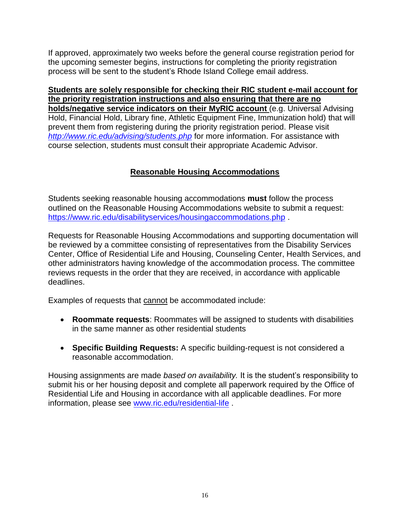If approved, approximately two weeks before the general course registration period for the upcoming semester begins, instructions for completing the priority registration process will be sent to the student's Rhode Island College email address.

**Students are solely responsible for checking their RIC student e-mail account for the priority registration instructions and also ensuring that there are no holds/negative service indicators on their MyRIC account** (e.g. Universal Advising Hold, Financial Hold, Library fine, Athletic Equipment Fine, Immunization hold) that will prevent them from registering during the priority registration period. Please visit *<http://www.ric.edu/advising/students.php>* for more information. For assistance with course selection, students must consult their appropriate Academic Advisor.

## **Reasonable Housing Accommodations**

Students seeking reasonable housing accommodations **must** follow the process outlined on the Reasonable Housing Accommodations website to submit a request: <https://www.ric.edu/disabilityservices/housingaccommodations.php> .

Requests for Reasonable Housing Accommodations and supporting documentation will be reviewed by a committee consisting of representatives from the Disability Services Center, Office of Residential Life and Housing, Counseling Center, Health Services, and other administrators having knowledge of the accommodation process. The committee reviews requests in the order that they are received, in accordance with applicable deadlines.

Examples of requests that cannot be accommodated include:

- **Roommate requests**: Roommates will be assigned to students with disabilities in the same manner as other residential students
- **Specific Building Requests:** A specific building-request is not considered a reasonable accommodation.

Housing assignments are made *based on availability.* It is the student's responsibility to submit his or her housing deposit and complete all paperwork required by the Office of Residential Life and Housing in accordance with all applicable deadlines. For more information, please see [www.ric.edu/residential-life](http://www.ric.edu/residential-life) .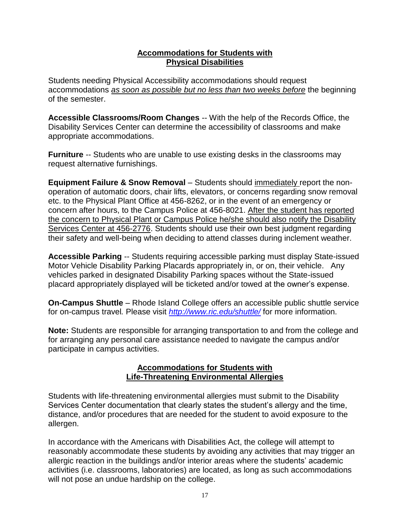#### **Accommodations for Students with Physical Disabilities**

Students needing Physical Accessibility accommodations should request accommodations *as soon as possible but no less than two weeks before* the beginning of the semester.

**Accessible Classrooms/Room Changes** -- With the help of the Records Office, the Disability Services Center can determine the accessibility of classrooms and make appropriate accommodations.

**Furniture** -- Students who are unable to use existing desks in the classrooms may request alternative furnishings.

**Equipment Failure & Snow Removal** – Students should immediately report the nonoperation of automatic doors, chair lifts, elevators, or concerns regarding snow removal etc. to the Physical Plant Office at 456-8262, or in the event of an emergency or concern after hours, to the Campus Police at 456-8021. After the student has reported the concern to Physical Plant or Campus Police he/she should also notify the Disability Services Center at 456-2776. Students should use their own best judgment regarding their safety and well-being when deciding to attend classes during inclement weather.

**Accessible Parking** -- Students requiring accessible parking must display State-issued Motor Vehicle Disability Parking Placards appropriately in, or on, their vehicle. Any vehicles parked in designated Disability Parking spaces without the State-issued placard appropriately displayed will be ticketed and/or towed at the owner's expense.

**On-Campus Shuttle** – Rhode Island College offers an accessible public shuttle service for on-campus travel*.* Please visit *<http://www.ric.edu/shuttle/>* for more information.

**Note:** Students are responsible for arranging transportation to and from the college and for arranging any personal care assistance needed to navigate the campus and/or participate in campus activities.

#### **Accommodations for Students with Life-Threatening Environmental Allergies**

Students with life-threatening environmental allergies must submit to the Disability Services Center documentation that clearly states the student's allergy and the time, distance, and/or procedures that are needed for the student to avoid exposure to the allergen.

In accordance with the Americans with Disabilities Act, the college will attempt to reasonably accommodate these students by avoiding any activities that may trigger an allergic reaction in the buildings and/or interior areas where the students' academic activities (i.e. classrooms, laboratories) are located, as long as such accommodations will not pose an undue hardship on the college.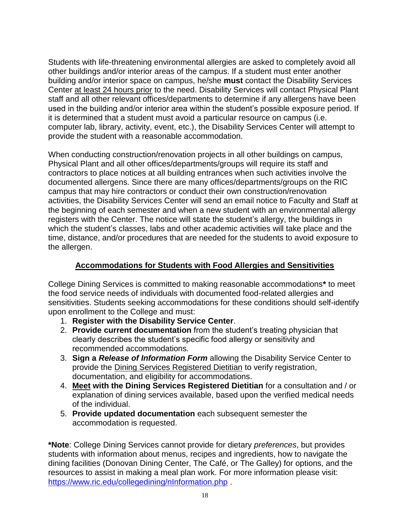Students with life-threatening environmental allergies are asked to completely avoid all other buildings and/or interior areas of the campus. If a student must enter another building and/or interior space on campus, he/she **must** contact the Disability Services Center at least 24 hours prior to the need. Disability Services will contact Physical Plant staff and all other relevant offices/departments to determine if any allergens have been used in the building and/or interior area within the student's possible exposure period. If it is determined that a student must avoid a particular resource on campus (i.e. computer lab, library, activity, event, etc.), the Disability Services Center will attempt to provide the student with a reasonable accommodation.

When conducting construction/renovation projects in all other buildings on campus, Physical Plant and all other offices/departments/groups will require its staff and contractors to place notices at all building entrances when such activities involve the documented allergens. Since there are many offices/departments/groups on the RIC campus that may hire contractors or conduct their own construction/renovation activities, the Disability Services Center will send an email notice to Faculty and Staff at the beginning of each semester and when a new student with an environmental allergy registers with the Center. The notice will state the student's allergy, the buildings in which the student's classes, labs and other academic activities will take place and the time, distance, and/or procedures that are needed for the students to avoid exposure to the allergen.

## **Accommodations for Students with Food Allergies and Sensitivities**

College Dining Services is committed to making reasonable accommodations**\*** to meet the food service needs of individuals with documented food-related allergies and sensitivities. Students seeking accommodations for these conditions should self-identify upon enrollment to the College and must:

- 1. **Register with the Disability Service Center**.
- 2. **Provide current documentation** from the student's treating physician that clearly describes the student's specific food allergy or sensitivity and recommended accommodations*.*
- 3. **Sign a** *Release of Information Form* allowing the Disability Service Center to provide the Dining Services Registered Dietitian to verify registration, documentation, and eligibility for accommodations.
- 4. **Meet with the Dining Services Registered Dietitian** for a consultation and / or explanation of dining services available, based upon the verified medical needs of the individual.
- 5. **Provide updated documentation** each subsequent semester the accommodation is requested.

**\*Note**: College Dining Services cannot provide for dietary *preferences*, but provides students with information about menus, recipes and ingredients, how to navigate the dining facilities (Donovan Dining Center, The Café, or The Galley) for options, and the resources to assist in making a meal plan work. For more information please visit: <https://www.ric.edu/collegedining/nInformation.php> .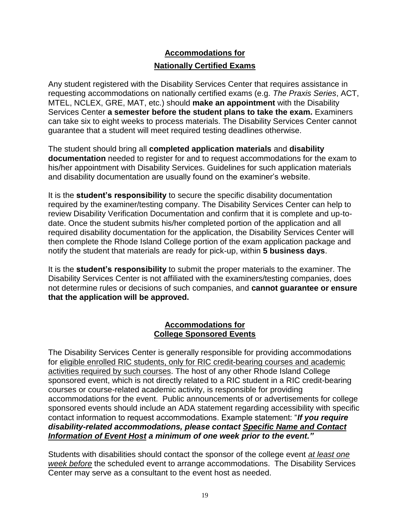## **Accommodations for Nationally Certified Exams**

Any student registered with the Disability Services Center that requires assistance in requesting accommodations on nationally certified exams (e.g. *The Praxis Series*, ACT, MTEL, NCLEX, GRE, MAT, etc.) should **make an appointment** with the Disability Services Center **a semester before the student plans to take the exam.** Examiners can take six to eight weeks to process materials. The Disability Services Center cannot guarantee that a student will meet required testing deadlines otherwise.

The student should bring all **completed application materials** and **disability documentation** needed to register for and to request accommodations for the exam to his/her appointment with Disability Services. Guidelines for such application materials and disability documentation are usually found on the examiner's website.

It is the **student's responsibility** to secure the specific disability documentation required by the examiner/testing company. The Disability Services Center can help to review Disability Verification Documentation and confirm that it is complete and up-todate. Once the student submits his/her completed portion of the application and all required disability documentation for the application, the Disability Services Center will then complete the Rhode Island College portion of the exam application package and notify the student that materials are ready for pick-up, within **5 business days**.

It is the **student's responsibility** to submit the proper materials to the examiner. The Disability Services Center is not affiliated with the examiners/testing companies, does not determine rules or decisions of such companies, and **cannot guarantee or ensure that the application will be approved.**

#### **Accommodations for College Sponsored Events**

The Disability Services Center is generally responsible for providing accommodations for eligible enrolled RIC students, only for RIC credit-bearing courses and academic activities required by such courses. The host of any other Rhode Island College sponsored event, which is not directly related to a RIC student in a RIC credit-bearing courses or course-related academic activity, is responsible for providing accommodations for the event. Public announcements of or advertisements for college sponsored events should include an ADA statement regarding accessibility with specific contact information to request accommodations. Example statement: "*If you require disability-related accommodations, please contact Specific Name and Contact Information of Event Host a minimum of one week prior to the event."*

Students with disabilities should contact the sponsor of the college event *at least one week before* the scheduled event to arrange accommodations. The Disability Services Center may serve as a consultant to the event host as needed.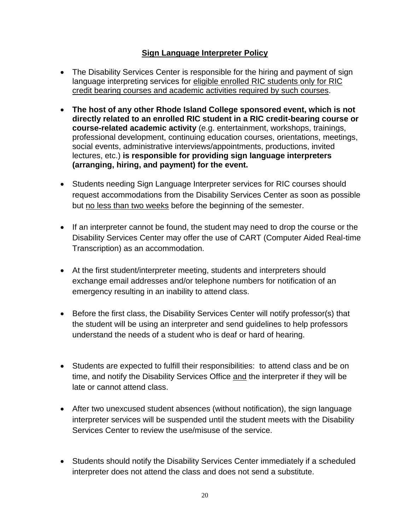## **Sign Language Interpreter Policy**

- The Disability Services Center is responsible for the hiring and payment of sign language interpreting services for eligible enrolled RIC students only for RIC credit bearing courses and academic activities required by such courses.
- **The host of any other Rhode Island College sponsored event, which is not directly related to an enrolled RIC student in a RIC credit-bearing course or course-related academic activity** (e.g. entertainment, workshops, trainings, professional development, continuing education courses, orientations, meetings, social events, administrative interviews/appointments, productions, invited lectures, etc.) **is responsible for providing sign language interpreters (arranging, hiring, and payment) for the event.**
- Students needing Sign Language Interpreter services for RIC courses should request accommodations from the Disability Services Center as soon as possible but no less than two weeks before the beginning of the semester.
- If an interpreter cannot be found, the student may need to drop the course or the Disability Services Center may offer the use of CART (Computer Aided Real-time Transcription) as an accommodation.
- At the first student/interpreter meeting, students and interpreters should exchange email addresses and/or telephone numbers for notification of an emergency resulting in an inability to attend class.
- Before the first class, the Disability Services Center will notify professor(s) that the student will be using an interpreter and send guidelines to help professors understand the needs of a student who is deaf or hard of hearing.
- Students are expected to fulfill their responsibilities: to attend class and be on time, and notify the Disability Services Office and the interpreter if they will be late or cannot attend class.
- After two unexcused student absences (without notification), the sign language interpreter services will be suspended until the student meets with the Disability Services Center to review the use/misuse of the service.
- Students should notify the Disability Services Center immediately if a scheduled interpreter does not attend the class and does not send a substitute.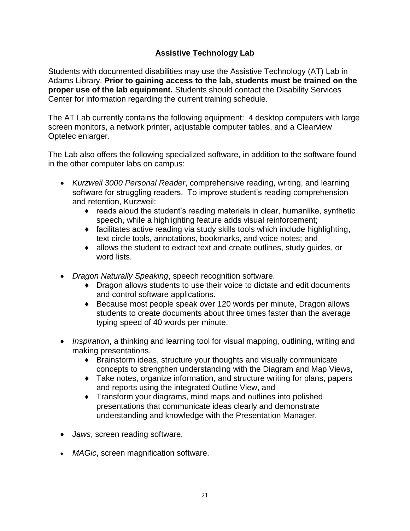## **Assistive Technology Lab**

Students with documented disabilities may use the Assistive Technology (AT) Lab in Adams Library. **Prior to gaining access to the lab, students must be trained on the proper use of the lab equipment.** Students should contact the Disability Services Center for information regarding the current training schedule.

The AT Lab currently contains the following equipment: 4 desktop computers with large screen monitors, a network printer, adjustable computer tables, and a Clearview Optelec enlarger.

The Lab also offers the following specialized software, in addition to the software found in the other computer labs on campus:

- *Kurzweil 3000 Personal Reader*, comprehensive reading, writing, and learning software for struggling readers. To improve student's reading comprehension and retention, Kurzweil:
	- $\bullet$  reads aloud the student's reading materials in clear, humanlike, synthetic speech, while a highlighting feature adds visual reinforcement;
	- ♦ facilitates active reading via study skills tools which include highlighting, text circle tools, annotations, bookmarks, and voice notes; and
	- ♦ allows the student to extract text and create outlines, study guides, or word lists.
- *Dragon Naturally Speaking*, speech recognition software.
	- ♦ Dragon allows students to use their voice to dictate and edit documents and control software applications.
	- ♦ Because most people speak over 120 words per minute, Dragon allows students to create documents about three times faster than the average typing speed of 40 words per minute.
- *Inspiration*, a thinking and learning tool for visual mapping, outlining, writing and making presentations.
	- ♦ Brainstorm ideas, structure your thoughts and visually communicate concepts to strengthen understanding with the Diagram and Map Views,
	- ♦ Take notes, organize information, and structure writing for plans, papers and reports using the integrated Outline View, and
	- ♦ Transform your diagrams, mind maps and outlines into polished presentations that communicate ideas clearly and demonstrate understanding and knowledge with the Presentation Manager.
- *Jaws*, screen reading software.
- *MAGic*, screen magnification software.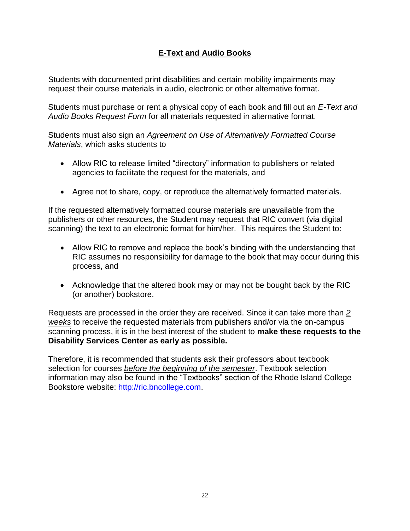## **E-Text and Audio Books**

Students with documented print disabilities and certain mobility impairments may request their course materials in audio, electronic or other alternative format.

Students must purchase or rent a physical copy of each book and fill out an *E-Text and Audio Books Request Form* for all materials requested in alternative format.

Students must also sign an *Agreement on Use of Alternatively Formatted Course Materials*, which asks students to

- Allow RIC to release limited "directory" information to publishers or related agencies to facilitate the request for the materials, and
- Agree not to share, copy, or reproduce the alternatively formatted materials.

If the requested alternatively formatted course materials are unavailable from the publishers or other resources, the Student may request that RIC convert (via digital scanning) the text to an electronic format for him/her. This requires the Student to:

- Allow RIC to remove and replace the book's binding with the understanding that RIC assumes no responsibility for damage to the book that may occur during this process, and
- Acknowledge that the altered book may or may not be bought back by the RIC (or another) bookstore.

Requests are processed in the order they are received. Since it can take more than *2 weeks* to receive the requested materials from publishers and/or via the on-campus scanning process, it is in the best interest of the student to **make these requests to the Disability Services Center as early as possible.**

Therefore, it is recommended that students ask their professors about textbook selection for courses *before the beginning of the semester*. Textbook selection information may also be found in the "Textbooks" section of the Rhode Island College Bookstore website: [http://ric.bncollege.com.](http://ric.bncollege.com/)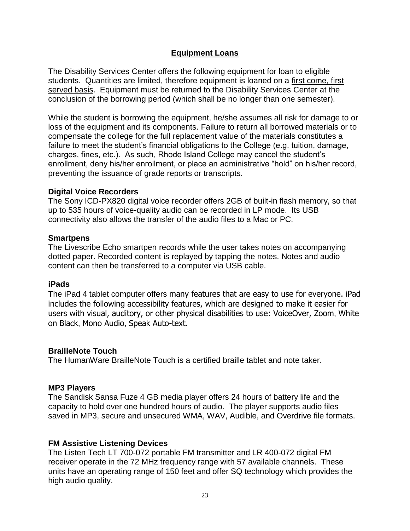## **Equipment Loans**

The Disability Services Center offers the following equipment for loan to eligible students. Quantities are limited, therefore equipment is loaned on a first come, first served basis. Equipment must be returned to the Disability Services Center at the conclusion of the borrowing period (which shall be no longer than one semester).

While the student is borrowing the equipment, he/she assumes all risk for damage to or loss of the equipment and its components. Failure to return all borrowed materials or to compensate the college for the full replacement value of the materials constitutes a failure to meet the student's financial obligations to the College (e.g. tuition, damage, charges, fines, etc.). As such, Rhode Island College may cancel the student's enrollment, deny his/her enrollment, or place an administrative "hold" on his/her record, preventing the issuance of grade reports or transcripts.

#### **Digital Voice Recorders**

The Sony ICD-PX820 digital voice recorder offers 2GB of built-in flash memory, so that up to 535 hours of voice-quality audio can be recorded in LP mode. Its USB connectivity also allows the transfer of the audio files to a Mac or PC.

#### **Smartpens**

The Livescribe Echo smartpen records while the user takes notes on accompanying dotted paper. Recorded content is replayed by tapping the notes. Notes and audio content can then be transferred to a computer via USB cable.

#### **iPads**

The iPad 4 tablet computer offers many features that are easy to use for everyone. iPad includes the following accessibility features, which are designed to make it easier for users with visual, auditory, or other physical disabilities to use: VoiceOver, Zoom, White on Black, Mono Audio, Speak Auto-text.

#### **BrailleNote Touch**

The HumanWare BrailleNote Touch is a certified braille tablet and note taker.

#### **MP3 Players**

The Sandisk Sansa Fuze 4 GB media player offers 24 hours of battery life and the capacity to hold over one hundred hours of audio. The player supports audio files saved in MP3, secure and unsecured WMA, WAV, Audible, and Overdrive file formats.

#### **FM Assistive Listening Devices**

The Listen Tech LT 700-072 portable FM transmitter and LR 400-072 digital FM receiver operate in the 72 MHz frequency range with 57 available channels. These units have an operating range of 150 feet and offer SQ technology which provides the high audio quality.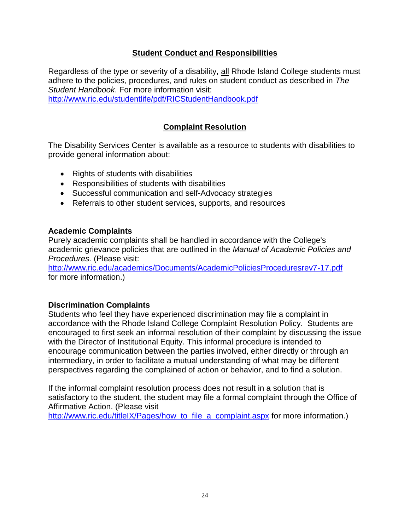## **Student Conduct and Responsibilities**

Regardless of the type or severity of a disability, all Rhode Island College students must adhere to the policies, procedures, and rules on student conduct as described in *The Student Handbook*. For more information visit:

<http://www.ric.edu/studentlife/pdf/RICStudentHandbook.pdf>

## **Complaint Resolution**

The Disability Services Center is available as a resource to students with disabilities to provide general information about:

- Rights of students with disabilities
- Responsibilities of students with disabilities
- Successful communication and self-Advocacy strategies
- Referrals to other student services, supports, and resources

#### **Academic Complaints**

Purely academic complaints shall be handled in accordance with the College's academic grievance policies that are outlined in the *Manual of Academic Policies and Procedures.* (Please visit:

<http://www.ric.edu/academics/Documents/AcademicPoliciesProceduresrev7-17.pdf> for more information.)

#### **Discrimination Complaints**

Students who feel they have experienced discrimination may file a complaint in accordance with the Rhode Island College Complaint Resolution Policy. Students are encouraged to first seek an informal resolution of their complaint by discussing the issue with the Director of Institutional Equity. This informal procedure is intended to encourage communication between the parties involved, either directly or through an intermediary, in order to facilitate a mutual understanding of what may be different perspectives regarding the complained of action or behavior, and to find a solution.

If the informal complaint resolution process does not result in a solution that is satisfactory to the student, the student may file a formal complaint through the Office of Affirmative Action. (Please visit

[http://www.ric.edu/titleIX/Pages/how\\_to\\_file\\_a\\_complaint.aspx](http://www.ric.edu/titleIX/Pages/how_to_file_a_complaint.aspx) for more information.)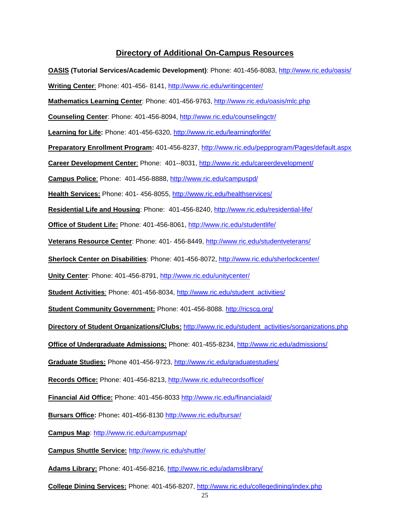#### **Directory of Additional On-Campus Resources**



**College Dining Services:** Phone: 401-456-8207,<http://www.ric.edu/collegedining/index.php>